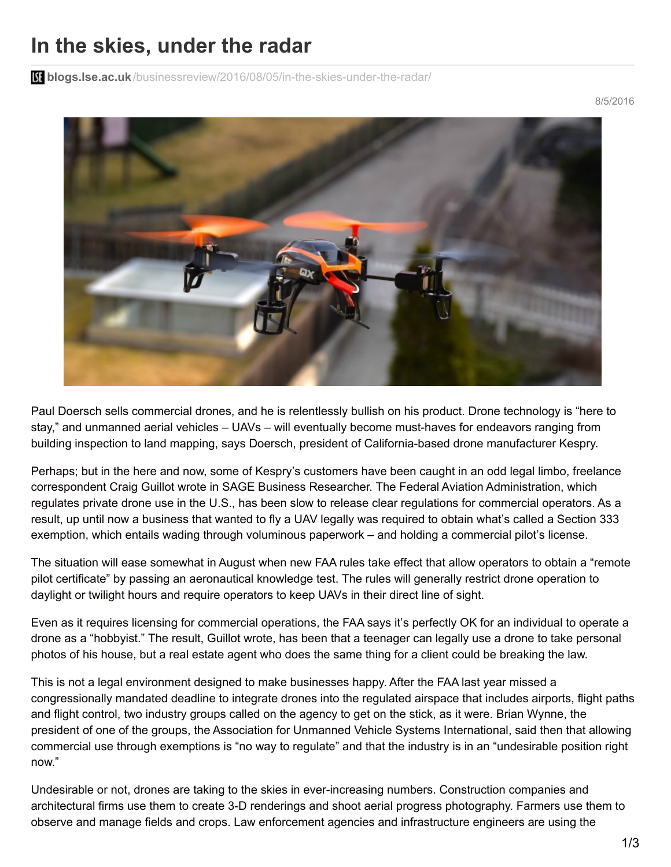## **In the skies, under the radar**

**blogs.lse.ac.uk**[/businessreview/2016/08/05/in-the-skies-under-the-radar/](http://blogs.lse.ac.uk/businessreview/2016/08/05/in-the-skies-under-the-radar/)

8/5/2016



Paul Doersch sells commercial drones, and he is relentlessly bullish on his product. Drone technology is "here to stay," and unmanned aerial vehicles – UAVs – will eventually become must-haves for endeavors ranging from building inspection to land mapping, says Doersch, president of California-based drone manufacturer Kespry.

Perhaps; but in the here and now, some of Kespry's customers have been caught in an odd legal limbo, freelance correspondent Craig Guillot wrote in SAGE Business Researcher. The Federal Aviation Administration, which regulates private drone use in the U.S., has been slow to release clear regulations for commercial operators. As a result, up until now a business that wanted to fly a UAV legally was required to obtain what's called a Section 333 exemption, which entails wading through voluminous paperwork – and holding a commercial pilot's license.

The situation will ease somewhat in August when new FAA rules take effect that allow operators to obtain a "remote pilot certificate" by passing an aeronautical knowledge test. The rules will generally restrict drone operation to daylight or twilight hours and require operators to keep UAVs in their direct line of sight.

Even as it requires licensing for commercial operations, the FAA says it's perfectly OK for an individual to operate a drone as a "hobbyist." The result, Guillot wrote, has been that a teenager can legally use a drone to take personal photos of his house, but a real estate agent who does the same thing for a client could be breaking the law.

This is not a legal environment designed to make businesses happy. After the FAA last year missed a congressionally mandated deadline to integrate drones into the regulated airspace that includes airports, flight paths and flight control, two industry groups called on the agency to get on the stick, as it were. Brian Wynne, the president of one of the groups, the Association for Unmanned Vehicle Systems International, said then that allowing commercial use through exemptions is "no way to regulate" and that the industry is in an "undesirable position right now."

Undesirable or not, drones are taking to the skies in ever-increasing numbers. Construction companies and architectural firms use them to create 3-D renderings and shoot aerial progress photography. Farmers use them to observe and manage fields and crops. Law enforcement agencies and infrastructure engineers are using the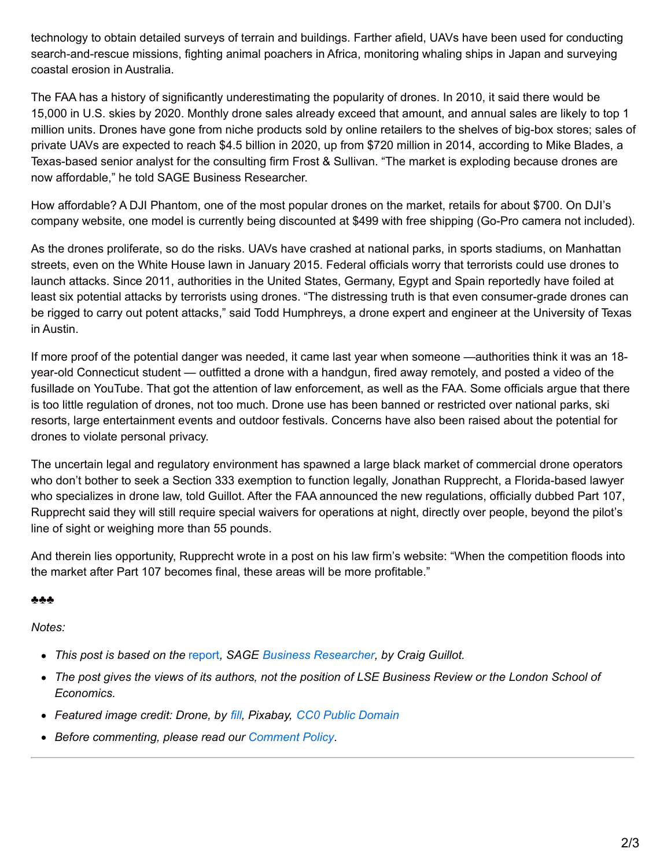technology to obtain detailed surveys of terrain and buildings. Farther afield, UAVs have been used for conducting search-and-rescue missions, fighting animal poachers in Africa, monitoring whaling ships in Japan and surveying coastal erosion in Australia.

The FAA has a history of significantly underestimating the popularity of drones. In 2010, it said there would be 15,000 in U.S. skies by 2020. Monthly drone sales already exceed that amount, and annual sales are likely to top 1 million units. Drones have gone from niche products sold by online retailers to the shelves of big-box stores; sales of private UAVs are expected to reach \$4.5 billion in 2020, up from \$720 million in 2014, according to Mike Blades, a Texas-based senior analyst for the consulting firm Frost & Sullivan. "The market is exploding because drones are now affordable," he told SAGE Business Researcher.

How affordable? A DJI Phantom, one of the most popular drones on the market, retails for about \$700. On DJI's company website, one model is currently being discounted at \$499 with free shipping (Go-Pro camera not included).

As the drones proliferate, so do the risks. UAVs have crashed at national parks, in sports stadiums, on Manhattan streets, even on the White House lawn in January 2015. Federal officials worry that terrorists could use drones to launch attacks. Since 2011, authorities in the United States, Germany, Egypt and Spain reportedly have foiled at least six potential attacks by terrorists using drones. "The distressing truth is that even consumer-grade drones can be rigged to carry out potent attacks," said Todd Humphreys, a drone expert and engineer at the University of Texas in Austin.

If more proof of the potential danger was needed, it came last year when someone —authorities think it was an 18 year-old Connecticut student — outfitted a drone with a handgun, fired away remotely, and posted a video of the fusillade on YouTube. That got the attention of law enforcement, as well as the FAA. Some officials argue that there is too little regulation of drones, not too much. Drone use has been banned or restricted over national parks, ski resorts, large entertainment events and outdoor festivals. Concerns have also been raised about the potential for drones to violate personal privacy.

The uncertain legal and regulatory environment has spawned a large black market of commercial drone operators who don't bother to seek a Section 333 exemption to function legally, Jonathan Rupprecht, a Florida-based lawyer who specializes in drone law, told Guillot. After the FAA announced the new regulations, officially dubbed Part 107, Rupprecht said they will still require special waivers for operations at night, directly over people, beyond the pilot's line of sight or weighing more than 55 pounds.

And therein lies opportunity, Rupprecht wrote in a post on his law firm's website: "When the competition floods into the market after Part 107 becomes final, these areas will be more profitable."

## ♣♣♣

*Notes:*

- *This post is based on the* [report](http://businessresearcher.sagepub.com/sbr-1775-98070-2712846/20160118/commercial-drones?type=hitlist&num=1)*, SAGE Business [Researcher](https://uk.sagepub.com/en-gb/eur/sage-business-researcher), by Craig Guillot.*
- The post gives the views of its authors, not the position of LSE Business Review or the London School of *Economics.*
- *Featured image credit: Drone, by [fill](https://pixabay.com/en/users/fill-8988/), Pixabay, CC0 Public [Domain](https://pixabay.com/en/drone-rc-blade-180-qx-hd-674236/)*
- *Before commenting, please read our [Comment](http://blogs.lse.ac.uk/businessreview/comment-policy/) Policy.*